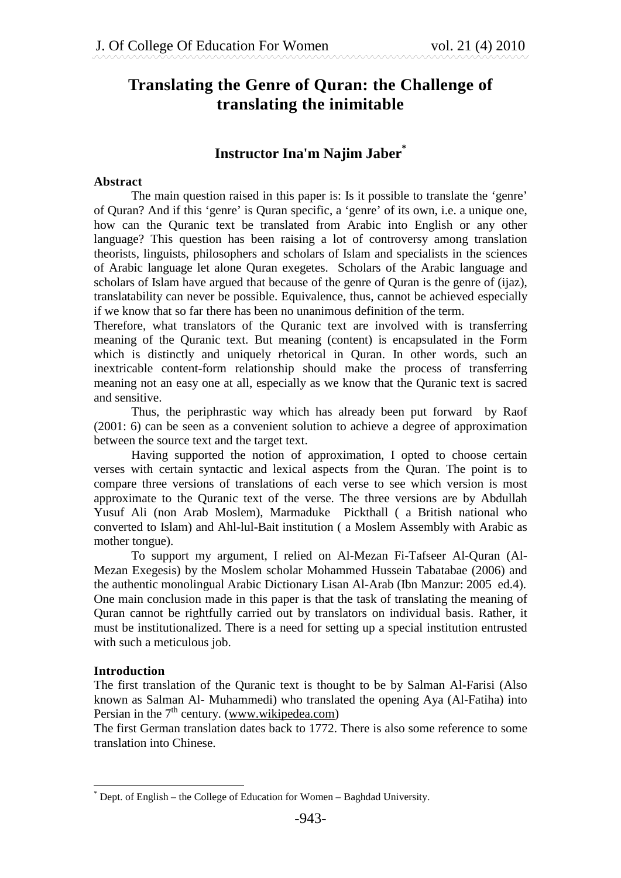# **Translating the Genre of Quran: the Challenge of translating the inimitable**

### **Instructor Ina'm Najim Jaber\***

#### **Abstract**

The main question raised in this paper is: Is it possible to translate the 'genre' of Quran? And if this 'genre' is Quran specific, a 'genre' of its own, i.e. a unique one, how can the Quranic text be translated from Arabic into English or any other language? This question has been raising a lot of controversy among translation theorists, linguists, philosophers and scholars of Islam and specialists in the sciences of Arabic language let alone Quran exegetes. Scholars of the Arabic language and scholars of Islam have argued that because of the genre of Quran is the genre of (ijaz), translatability can never be possible. Equivalence, thus, cannot be achieved especially if we know that so far there has been no unanimous definition of the term.

Therefore, what translators of the Quranic text are involved with is transferring meaning of the Quranic text. But meaning (content) is encapsulated in the Form which is distinctly and uniquely rhetorical in Quran. In other words, such an inextricable content-form relationship should make the process of transferring meaning not an easy one at all, especially as we know that the Quranic text is sacred and sensitive.

Thus, the periphrastic way which has already been put forward by Raof (2001: 6) can be seen as a convenient solution to achieve a degree of approximation between the source text and the target text.

Having supported the notion of approximation, I opted to choose certain verses with certain syntactic and lexical aspects from the Quran. The point is to compare three versions of translations of each verse to see which version is most approximate to the Quranic text of the verse. The three versions are by Abdullah Yusuf Ali (non Arab Moslem), Marmaduke Pickthall ( a British national who converted to Islam) and Ahl-lul-Bait institution ( a Moslem Assembly with Arabic as mother tongue).

To support my argument, I relied on Al-Mezan Fi-Tafseer Al-Quran (Al-Mezan Exegesis) by the Moslem scholar Mohammed Hussein Tabatabae (2006) and the authentic monolingual Arabic Dictionary Lisan Al-Arab (Ibn Manzur: 2005 ed.4). One main conclusion made in this paper is that the task of translating the meaning of Quran cannot be rightfully carried out by translators on individual basis. Rather, it must be institutionalized. There is a need for setting up a special institution entrusted with such a meticulous job.

#### **Introduction**

The first translation of the Quranic text is thought to be by Salman Al-Farisi (Also known as Salman Al- Muhammedi) who translated the opening Aya (Al-Fatiha) into Persian in the  $7<sup>th</sup>$  century. (www.wikipedea.com)

The first German translation dates back to 1772. There is also some reference to some translation into Chinese.

\* Dept. of English – the College of Education for Women – Baghdad University.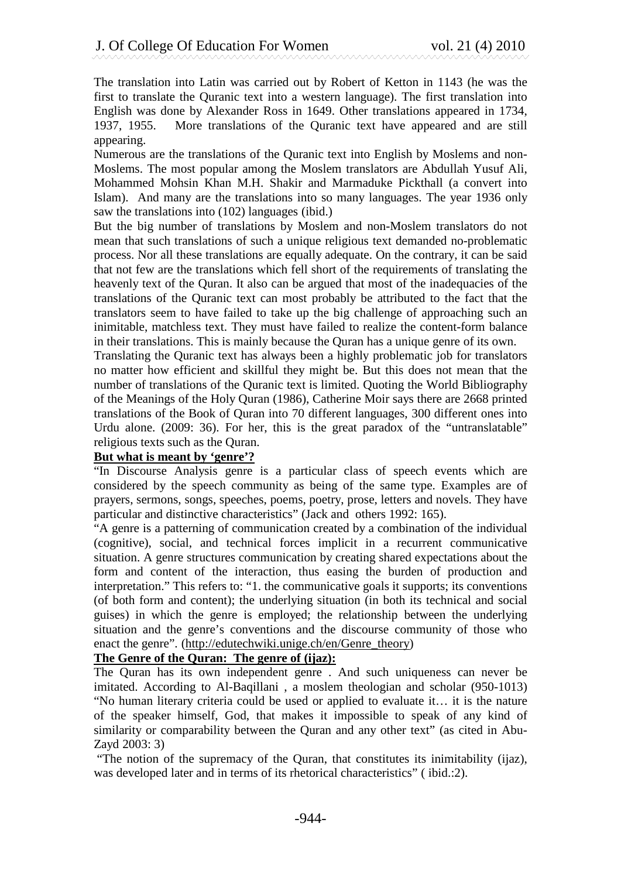The translation into Latin was carried out by Robert of Ketton in 1143 (he was the first to translate the Quranic text into a western language). The first translation into English was done by Alexander Ross in 1649. Other translations appeared in 1734, 1937, 1955. More translations of the Quranic text have appeared and are still appearing.

Numerous are the translations of the Quranic text into English by Moslems and non-Moslems. The most popular among the Moslem translators are Abdullah Yusuf Ali, Mohammed Mohsin Khan M.H. Shakir and Marmaduke Pickthall (a convert into Islam). And many are the translations into so many languages. The year 1936 only saw the translations into (102) languages (ibid.)

But the big number of translations by Moslem and non-Moslem translators do not mean that such translations of such a unique religious text demanded no-problematic process. Nor all these translations are equally adequate. On the contrary, it can be said that not few are the translations which fell short of the requirements of translating the heavenly text of the Quran. It also can be argued that most of the inadequacies of the translations of the Quranic text can most probably be attributed to the fact that the translators seem to have failed to take up the big challenge of approaching such an inimitable, matchless text. They must have failed to realize the content-form balance in their translations. This is mainly because the Quran has a unique genre of its own.

Translating the Quranic text has always been a highly problematic job for translators no matter how efficient and skillful they might be. But this does not mean that the number of translations of the Quranic text is limited. Quoting the World Bibliography of the Meanings of the Holy Quran (1986), Catherine Moir says there are 2668 printed translations of the Book of Quran into 70 different languages, 300 different ones into Urdu alone. (2009: 36). For her, this is the great paradox of the "untranslatable" religious texts such as the Quran.

#### **But what is meant by 'genre'?**

"In Discourse Analysis genre is a particular class of speech events which are considered by the speech community as being of the same type. Examples are of prayers, sermons, songs, speeches, poems, poetry, prose, letters and novels. They have particular and distinctive characteristics" (Jack and others 1992: 165).

"A genre is a patterning of communication created by a combination of the individual (cognitive), social, and technical forces implicit in a recurrent communicative situation. A genre structures communication by creating shared expectations about the form and content of the interaction, thus easing the burden of production and interpretation." This refers to: "1. the communicative goals it supports; its conventions (of both form and content); the underlying situation (in both its technical and social guises) in which the genre is employed; the relationship between the underlying situation and the genre's conventions and the discourse community of those who enact the genre". (http://edutechwiki.unige.ch/en/Genre\_theory)

#### **The Genre of the Quran: The genre of (ijaz):**

The Quran has its own independent genre . And such uniqueness can never be imitated. According to Al-Baqillani , a moslem theologian and scholar (950-1013) "No human literary criteria could be used or applied to evaluate it… it is the nature of the speaker himself, God, that makes it impossible to speak of any kind of similarity or comparability between the Quran and any other text" (as cited in Abu-Zayd 2003: 3)

"The notion of the supremacy of the Quran, that constitutes its inimitability (ijaz), was developed later and in terms of its rhetorical characteristics" (ibid.:2).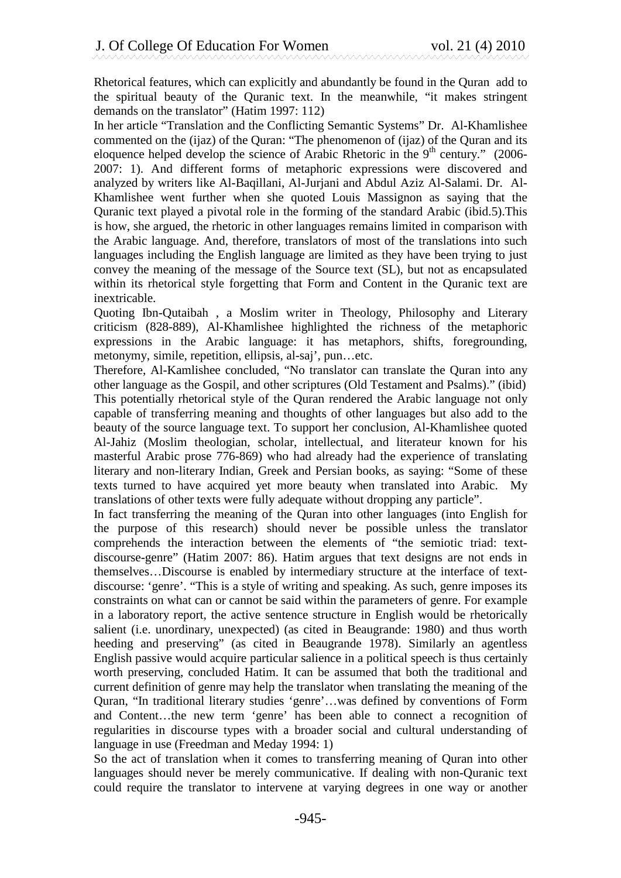Rhetorical features, which can explicitly and abundantly be found in the Quran add to the spiritual beauty of the Quranic text. In the meanwhile, "it makes stringent demands on the translator" (Hatim 1997: 112)

In her article "Translation and the Conflicting Semantic Systems" Dr. Al-Khamlishee commented on the (ijaz) of the Quran: "The phenomenon of (ijaz) of the Quran and its eloquence helped develop the science of Arabic Rhetoric in the  $9<sup>th</sup>$  century." (2006-2007: 1). And different forms of metaphoric expressions were discovered and analyzed by writers like Al-Baqillani, Al-Jurjani and Abdul Aziz Al-Salami. Dr. Al-Khamlishee went further when she quoted Louis Massignon as saying that the Quranic text played a pivotal role in the forming of the standard Arabic (ibid.5).This is how, she argued, the rhetoric in other languages remains limited in comparison with the Arabic language. And, therefore, translators of most of the translations into such languages including the English language are limited as they have been trying to just convey the meaning of the message of the Source text (SL), but not as encapsulated within its rhetorical style forgetting that Form and Content in the Quranic text are inextricable.

Quoting Ibn-Qutaibah , a Moslim writer in Theology, Philosophy and Literary criticism (828-889), Al-Khamlishee highlighted the richness of the metaphoric expressions in the Arabic language: it has metaphors, shifts, foregrounding, metonymy, simile, repetition, ellipsis, al-saj', pun…etc.

Therefore, Al-Kamlishee concluded, "No translator can translate the Quran into any other language as the Gospil, and other scriptures (Old Testament and Psalms)." (ibid) This potentially rhetorical style of the Quran rendered the Arabic language not only capable of transferring meaning and thoughts of other languages but also add to the beauty of the source language text. To support her conclusion, Al-Khamlishee quoted Al-Jahiz (Moslim theologian, scholar, intellectual, and literateur known for his masterful Arabic prose 776-869) who had already had the experience of translating literary and non-literary Indian, Greek and Persian books, as saying: "Some of these texts turned to have acquired yet more beauty when translated into Arabic. My translations of other texts were fully adequate without dropping any particle".

In fact transferring the meaning of the Quran into other languages (into English for the purpose of this research) should never be possible unless the translator comprehends the interaction between the elements of "the semiotic triad: textdiscourse-genre" (Hatim 2007: 86). Hatim argues that text designs are not ends in themselves…Discourse is enabled by intermediary structure at the interface of textdiscourse: 'genre'. "This is a style of writing and speaking. As such, genre imposes its constraints on what can or cannot be said within the parameters of genre. For example in a laboratory report, the active sentence structure in English would be rhetorically salient (i.e. unordinary, unexpected) (as cited in Beaugrande: 1980) and thus worth heeding and preserving" (as cited in Beaugrande 1978). Similarly an agentless English passive would acquire particular salience in a political speech is thus certainly worth preserving, concluded Hatim. It can be assumed that both the traditional and current definition of genre may help the translator when translating the meaning of the Quran, "In traditional literary studies 'genre'…was defined by conventions of Form and Content…the new term 'genre' has been able to connect a recognition of regularities in discourse types with a broader social and cultural understanding of language in use (Freedman and Meday 1994: 1)

So the act of translation when it comes to transferring meaning of Quran into other languages should never be merely communicative. If dealing with non-Quranic text could require the translator to intervene at varying degrees in one way or another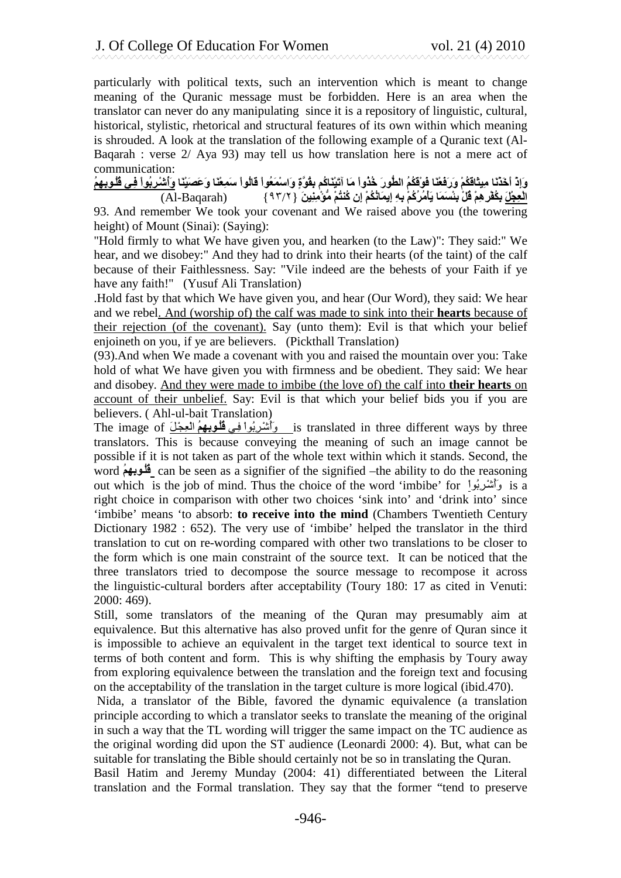particularly with political texts, such an intervention which is meant to change meaning of the Quranic message must be forbidden. Here is an area when the translator can never do any manipulating since it is a repository of linguistic, cultural, historical, stylistic, rhetorical and structural features of its own within which meaning is shrouded. A look at the translation of the following example of a Quranic text (Al-Baqarah : verse 2/ Aya 93) may tell us how translation here is not a mere act of communication:

**وَإِذْ أَخَذْنَا مِیثَاقَكُمْ وَرَفَعْنَا فَوْقَكُمُ الطُّورَ خُذُواْ مَا آتَیْنَاكُم بِقُوَّةٍ وَاسْمَعُواْ قَالُواْ سَمِعْنَا وَعَصَیْنَا وَأُشْرِبُواْ فِي قُلُوبِھِمُ الْعِجْلَ بِكُفْرِھِمْ قُلْ بِئْسَمَا یَأْمُرُكُمْ بِھِ إِیمَانُكُمْ إِن كُنتُمْ مُّؤْمِنِینَ** {٩٣/٢} (Baqarah-Al ( 93. And remember We took your covenant and We raised above you (the towering height) of Mount (Sinai): (Saying):

"Hold firmly to what We have given you, and hearken (to the Law)": They said:" We hear, and we disobey:" And they had to drink into their hearts (of the taint) of the calf because of their Faithlessness. Say: "Vile indeed are the behests of your Faith if ye have any faith!" (Yusuf Ali Translation)

.Hold fast by that which We have given you, and hear (Our Word), they said: We hear and we rebel. And (worship of) the calf was made to sink into their **hearts** because of their rejection (of the covenant). Say (unto them): Evil is that which your belief enjoineth on you, if ye are believers. (Pickthall Translation)

(93).And when We made a covenant with you and raised the mountain over you: Take hold of what We have given you with firmness and be obedient. They said: We hear and disobey. And they were made to imbibe (the love of) the calf into **their hearts** on account of their unbelief. Say: Evil is that which your belief bids you if you are believers. ( Ahl-ul-bait Translation)

 three by ways different three in translated is وَأُشْرِبُواْ فِي **قُلُوبِھِمُ** الْعِجْلَ of image The translators. This is because conveying the meaning of such an image cannot be possible if it is not taken as part of the whole text within which it stands. Second, the word **ُمِھِوبُلُق** can be seen as a signifier of the signified –the ability to do the reasoning out which is the job of mind. Thus the choice of the word 'imbibe' for ْا وُبِرْشُأَو is a right choice in comparison with other two choices 'sink into' and 'drink into' since 'imbibe' means 'to absorb: **to receive into the mind** (Chambers Twentieth Century Dictionary 1982 : 652). The very use of 'imbibe' helped the translator in the third translation to cut on re-wording compared with other two translations to be closer to the form which is one main constraint of the source text. It can be noticed that the three translators tried to decompose the source message to recompose it across the linguistic-cultural borders after acceptability (Toury 180: 17 as cited in Venuti: 2000: 469).

Still, some translators of the meaning of the Quran may presumably aim at equivalence. But this alternative has also proved unfit for the genre of Quran since it is impossible to achieve an equivalent in the target text identical to source text in terms of both content and form. This is why shifting the emphasis by Toury away from exploring equivalence between the translation and the foreign text and focusing on the acceptability of the translation in the target culture is more logical (ibid.470).

Nida, a translator of the Bible, favored the dynamic equivalence (a translation principle according to which a translator seeks to translate the meaning of the original in such a way that the TL wording will trigger the same impact on the TC audience as the original wording did upon the ST audience (Leonardi 2000: 4). But, what can be suitable for translating the Bible should certainly not be so in translating the Quran.

Basil Hatim and Jeremy Munday (2004: 41) differentiated between the Literal translation and the Formal translation. They say that the former "tend to preserve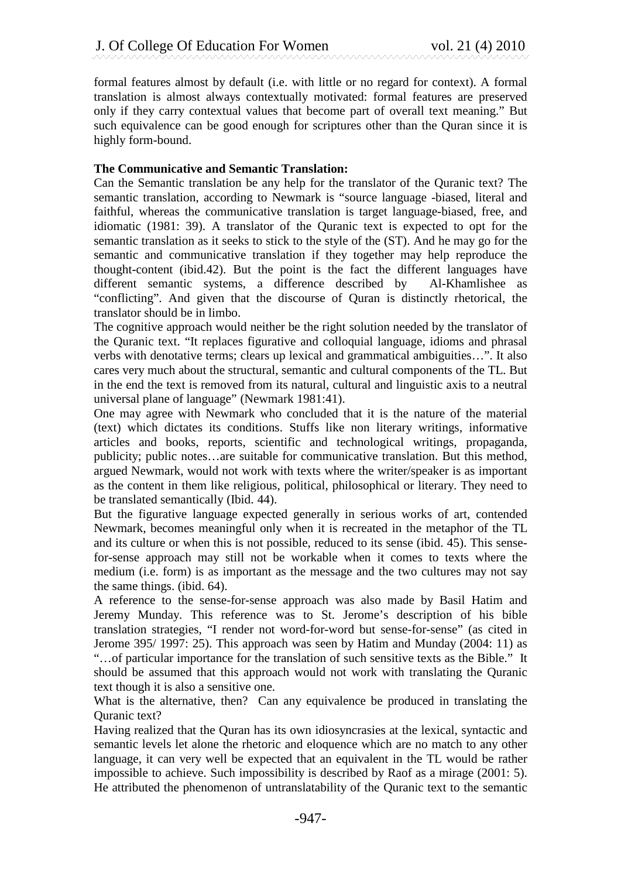formal features almost by default (i.e. with little or no regard for context). A formal translation is almost always contextually motivated: formal features are preserved only if they carry contextual values that become part of overall text meaning." But such equivalence can be good enough for scriptures other than the Quran since it is highly form-bound.

#### **The Communicative and Semantic Translation:**

Can the Semantic translation be any help for the translator of the Quranic text? The semantic translation, according to Newmark is "source language -biased, literal and faithful, whereas the communicative translation is target language-biased, free, and idiomatic (1981: 39). A translator of the Quranic text is expected to opt for the semantic translation as it seeks to stick to the style of the (ST). And he may go for the semantic and communicative translation if they together may help reproduce the thought-content (ibid.42). But the point is the fact the different languages have different semantic systems, a difference described by Al-Khamlishee as "conflicting". And given that the discourse of Quran is distinctly rhetorical, the translator should be in limbo.

The cognitive approach would neither be the right solution needed by the translator of the Quranic text. "It replaces figurative and colloquial language, idioms and phrasal verbs with denotative terms; clears up lexical and grammatical ambiguities…". It also cares very much about the structural, semantic and cultural components of the TL. But in the end the text is removed from its natural, cultural and linguistic axis to a neutral universal plane of language" (Newmark 1981:41).

One may agree with Newmark who concluded that it is the nature of the material (text) which dictates its conditions. Stuffs like non literary writings, informative articles and books, reports, scientific and technological writings, propaganda, publicity; public notes…are suitable for communicative translation. But this method, argued Newmark, would not work with texts where the writer/speaker is as important as the content in them like religious, political, philosophical or literary. They need to be translated semantically (Ibid. 44).

But the figurative language expected generally in serious works of art, contended Newmark, becomes meaningful only when it is recreated in the metaphor of the TL and its culture or when this is not possible, reduced to its sense (ibid. 45). This sensefor-sense approach may still not be workable when it comes to texts where the medium (i.e. form) is as important as the message and the two cultures may not say the same things. (ibid. 64).

A reference to the sense-for-sense approach was also made by Basil Hatim and Jeremy Munday. This reference was to St. Jerome's description of his bible translation strategies, "I render not word-for-word but sense-for-sense" (as cited in Jerome 395/ 1997: 25). This approach was seen by Hatim and Munday (2004: 11) as "…of particular importance for the translation of such sensitive texts as the Bible." It should be assumed that this approach would not work with translating the Quranic text though it is also a sensitive one.

What is the alternative, then? Can any equivalence be produced in translating the Quranic text?

Having realized that the Quran has its own idiosyncrasies at the lexical, syntactic and semantic levels let alone the rhetoric and eloquence which are no match to any other language, it can very well be expected that an equivalent in the TL would be rather impossible to achieve. Such impossibility is described by Raof as a mirage (2001: 5). He attributed the phenomenon of untranslatability of the Quranic text to the semantic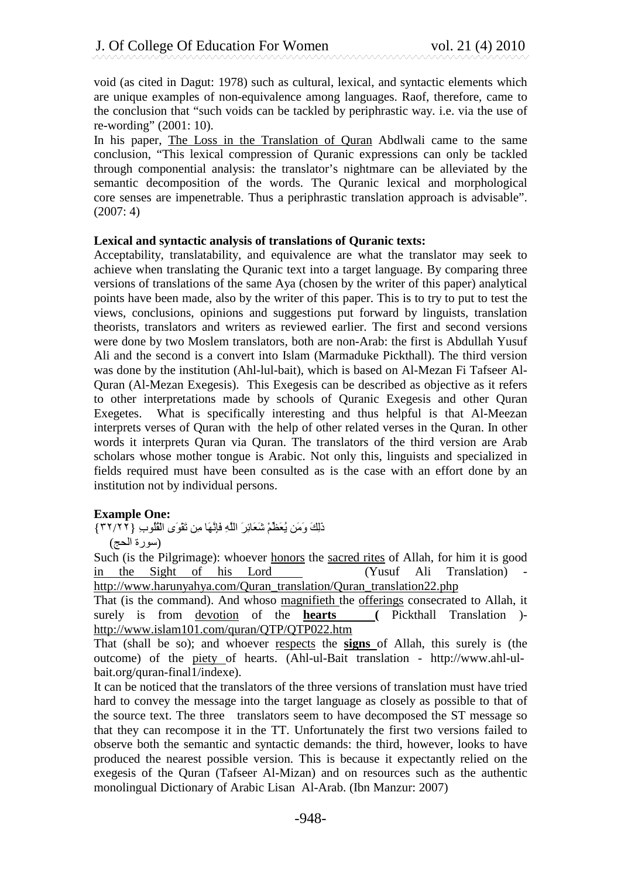void (as cited in Dagut: 1978) such as cultural, lexical, and syntactic elements which are unique examples of non-equivalence among languages. Raof, therefore, came to the conclusion that "such voids can be tackled by periphrastic way. i.e. via the use of re-wording" (2001: 10).

In his paper, The Loss in the Translation of Quran Abdlwali came to the same conclusion, "This lexical compression of Quranic expressions can only be tackled through componential analysis: the translator's nightmare can be alleviated by the semantic decomposition of the words. The Quranic lexical and morphological core senses are impenetrable. Thus a periphrastic translation approach is advisable". (2007: 4)

#### **Lexical and syntactic analysis of translations of Quranic texts:**

Acceptability, translatability, and equivalence are what the translator may seek to achieve when translating the Quranic text into a target language. By comparing three versions of translations of the same Aya (chosen by the writer of this paper) analytical points have been made, also by the writer of this paper. This is to try to put to test the views, conclusions, opinions and suggestions put forward by linguists, translation theorists, translators and writers as reviewed earlier. The first and second versions were done by two Moslem translators, both are non-Arab: the first is Abdullah Yusuf Ali and the second is a convert into Islam (Marmaduke Pickthall). The third version was done by the institution (Ahl-lul-bait), which is based on Al-Mezan Fi Tafseer Al-Quran (Al-Mezan Exegesis). This Exegesis can be described as objective as it refers to other interpretations made by schools of Quranic Exegesis and other Quran Exegetes. What is specifically interesting and thus helpful is that Al-Meezan interprets verses of Quran with the help of other related verses in the Quran. In other words it interprets Quran via Quran. The translators of the third version are Arab scholars whose mother tongue is Arabic. Not only this, linguists and specialized in fields required must have been consulted as is the case with an effort done by an institution not by individual persons.

#### **Example One:**

ذَلِكَ وَمَن یُعَظِّمْ شَعَائِرَ اللَّھِ فَإِنَّھَا مِن تَقْوَى الْقُلُوبِ {٣٢/٢٢} (سورة الحج)

Such (is the Pilgrimage): whoever honors the sacred rites of Allah, for him it is good in the Sight of his Lord (Yusuf Ali Translation) http://www.harunyahya.com/Quran\_translation/Quran\_translation22.php

That (is the command). And whoso magnifieth the offerings consecrated to Allah, it surely is from devotion of the **hearts** (Pickthall Translation)http://www.islam101.com/quran/QTP/QTP022.htm

That (shall be so); and whoever respects the **signs** of Allah, this surely is (the outcome) of the piety of hearts. (Ahl-ul-Bait translation - http://www.ahl-ulbait.org/quran-final1/indexe).

It can be noticed that the translators of the three versions of translation must have tried hard to convey the message into the target language as closely as possible to that of the source text. The three translators seem to have decomposed the ST message so that they can recompose it in the TT. Unfortunately the first two versions failed to observe both the semantic and syntactic demands: the third, however, looks to have produced the nearest possible version. This is because it expectantly relied on the exegesis of the Quran (Tafseer Al-Mizan) and on resources such as the authentic monolingual Dictionary of Arabic Lisan Al-Arab. (Ibn Manzur: 2007)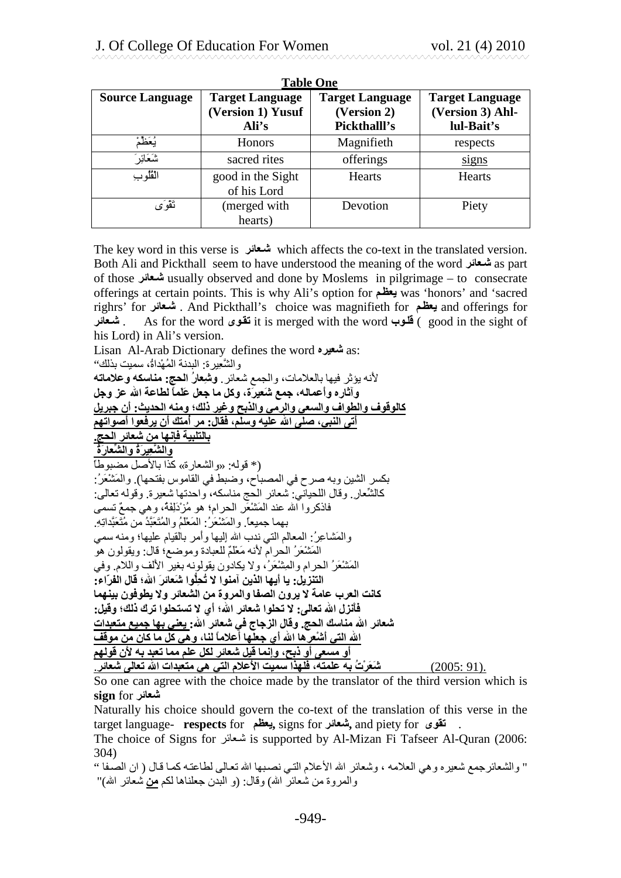| <b>Table One</b>       |                                                      |                                                       |                                                          |  |  |  |
|------------------------|------------------------------------------------------|-------------------------------------------------------|----------------------------------------------------------|--|--|--|
| <b>Source Language</b> | <b>Target Language</b><br>(Version 1) Yusuf<br>Ali's | <b>Target Language</b><br>(Version 2)<br>Pickthalll's | <b>Target Language</b><br>(Version 3) Ahl-<br>lul-Bait's |  |  |  |
| يُعَظُمْ               | Honors                                               | Magnifieth                                            | respects                                                 |  |  |  |
| شَعَائِرَ              | sacred rites                                         | offerings                                             | signs                                                    |  |  |  |
| القُلُو بِ             | good in the Sight<br>of his Lord                     | Hearts                                                | <b>Hearts</b>                                            |  |  |  |
| تَقْوَى                | (merged with<br>hearts)                              | Devotion                                              | Piety                                                    |  |  |  |

The key word in this verse is **عائرش** which affects the co-text in the translated version. Both Ali and Pickthall seem to have understood the meaning of the word **عائرش** as part of those **عائرش** usually observed and done by Moslems in pilgrimage – to consecrate offerings at certain points. This is why Ali's option for **میعظ** was 'honors' and 'sacred righrs' for **عائرش** . And Pickthall's choice was magnifieth for **میعظ** and offerings for  **عائرش** . As for the word **وىتق** it is merged with the word **وبقل** ) good in the sight of his Lord) in Ali's version.

Lisan Al-Arab Dictionary defines the word **شعیره** as:

والشَّعِیرة: البدنة المُھْداة،ُ سمیت بذلك"

- لأَنھ یؤثر فیھا بالعلامات، والجمع شعائر. **وشِعارُ الحج: مناسكھ وعلاماتھ**
- **وآثاره وأَعمالھ، جمع شَعیرَة، وكل ما جعل عَلَماً لطاعة االله عز وجل**
- **كالوقوف والطواف والسعي والرمي والذبح وغیر ذلك؛ ومنھ الحدیث: أَن جبریل**

**أَتى النبي، صلى االله علیھ وسلم، فقال: مر أُمتك أَن یرفعوا أَصواتھم**

**بالتلبیة فإِنھا من شعائر الحج.**

**والشَّعِیرَةُ والشِّعارَةُ** 

```
(* قولھ: «والشعارة» كذا بالأصل مضبوطاً
بكسر الشین وبھ صرح في المصباح، وضبط في القاموس بفتحھا). والمَشْعَر:ُ
كالشِّعار.ِ وقال اللحیاني: شعائر الحج مناسكھ، واحدتھا شعیرة. وقولھ تعالى:
```
فاذكر وا الله عند المَشْعَرِ الحرام؛ هو مُزْدَلِفَة، وهي جمعٌ تسمى بھما جمیعا.ً والمَشْعَر:ُ المَعْلَمُ والمُتَعَبَّدُ من مُتَعَبَّداتِھ.ِ

والمَشاعِر:ُ المعالم التي ندب االله إِلیھا وأَمر بالقیام علیھا؛ ومنھ سمي

المَشْعَرُ الحرام لأَنھ مَعْلَمٌ للعبادة وموضع؛ قال: ویقولون ھو

المَشْعَرُ الحرام والمِشْعَر،ُ ولا یكادون یقولونھ بغیر الأَلف واللام. وفي

**التنزیل: یا أَیھا الذین آمنوا لا تُحِلُّوا شَعائرَ االله؛ قال الفرّاء:**

**كانت العرب عامة لا یرون الصفا والمروة من الشعائر ولا یطوفون بینھما فأَنزل االله تعالى: لا تحلوا شعائر االله؛ أَي لا تستحلوا ترك ذلك؛ وقیل:**

**شعائر االله مناسك الحج. وقال الزجاج في شعائر االله: یعني بھا جمیع متعبدات**

**االله التي أَشْعرھا االله أَي جعلھا أَعلاماً لنا، وھي كل ما كان من موقف أَو مسعى أَو ذبح، وإِنما قیل شعائر لكل علم مما تعبد بھ لأَن قولھم** .(91 2005:) **شَعَرْتُ بھ علمتھ، فلھذا سمیت الأَعلام التي ھي متعبدات االله تعالى شعائر**.

So one can agree with the choice made by the translator of the third version which is **sign** for **شعائر**

Naturally his choice should govern the co-text of the translation of this verse in the target language- **respects** for **یعظم,** signs for **شعائر,** and piety for **تقوى** .

The choice of Signs for عائرش is supported by Al-Mizan Fi Tafseer Al-Quran (2006: 304)

" والشعائرجمع شعیره وھي العلامھ ، وشعائر االله الأعلام التي نصبھا االله تعالى لطاعتھ كما قال ( ان الصفا " والمروة من شعائر االله) وقال: (و البدن جعلناھا لكم **من** شعائر االله)"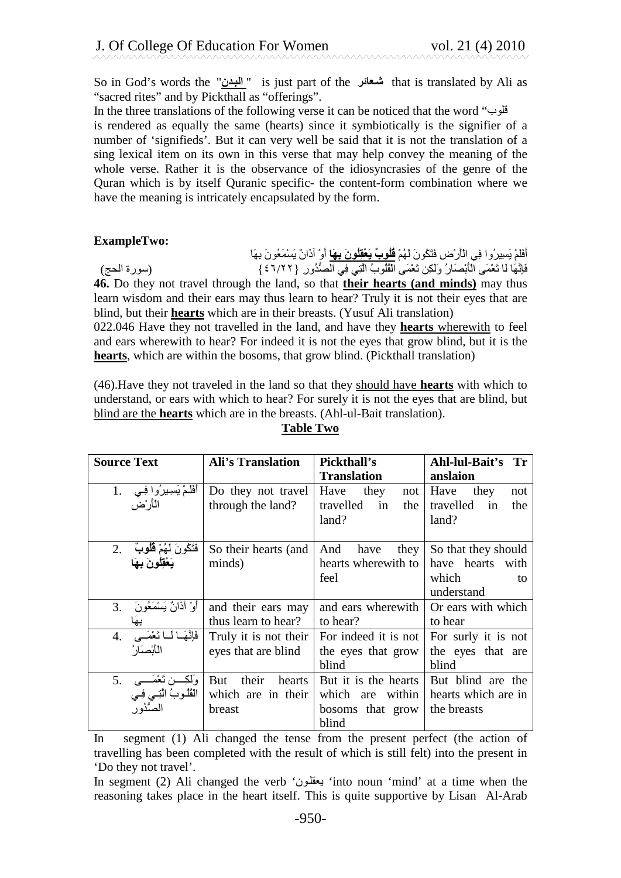So in God's words the "البدن" is just part of the **سُعائر that is translated by Ali as** "sacred rites" and by Pickthall as "offerings".

In the three translations of the following verse it can be noticed that the word "قلوب is rendered as equally the same (hearts) since it symbiotically is the signifier of a number of 'signifieds'. But it can very well be said that it is not the translation of a sing lexical item on its own in this verse that may help convey the meaning of the whole verse. Rather it is the observance of the idiosyncrasies of the genre of the Quran which is by itself Quranic specific- the content-form combination where we have the meaning is intricately encapsulated by the form.

#### **ExampleTwo:**

أَفَلَمْ یَسِیرُوا فِي الْأَرْضِ فَتَكُونَ لَھُمْ **قُلُوبٌ یَعْقِلُونَ بِھَا** أَوْ آذَانٌ یَسْمَعُونَ بِھَا فَإِنَّھَا لَا تَعْمَى الْأَبْصَارُ وَلَكِن تَعْمَى الْقُلُوبُ الَّتِي فِي الصُّدُورِ {٤٦/٢٢} (سورة الحج) **46.** Do they not travel through the land, so that **their hearts (and minds)** may thus learn wisdom and their ears may thus learn to hear? Truly it is not their eyes that are blind, but their **hearts** which are in their breasts. (Yusuf Ali translation) 022.046 Have they not travelled in the land, and have they **hearts** wherewith to feel

and ears wherewith to hear? For indeed it is not the eyes that grow blind, but it is the **hearts**, which are within the bosoms, that grow blind. (Pickthall translation)

(46).Have they not traveled in the land so that they should have **hearts** with which to understand, or ears with which to hear? For surely it is not the eyes that are blind, but blind are the **hearts** which are in the breasts. (Ahl-ul-Bait translation).

| <b>Source Text</b>                                              | <b>Ali's Translation</b> | Pickthall's            | Ahl-lul-Bait's Tr      |
|-----------------------------------------------------------------|--------------------------|------------------------|------------------------|
|                                                                 |                          | <b>Translation</b>     | anslaion               |
| أَفَلَمْ يَسِيرُوا فِي 1.                                       | Do they not travel       | Have<br>they<br>not    | Have<br>they<br>not    |
| الأر ْضْ                                                        | through the land?        | travelled<br>in<br>the | travelled<br>the<br>in |
|                                                                 |                          | land?                  | land?                  |
|                                                                 |                          |                        |                        |
| فَتَكُونَ لَهُمْ <b>قُلُوبٌ</b> 2.<br><b>يَعْقِلُونَ بِـهَا</b> | So their hearts (and     | And<br>have<br>they    | So that they should    |
|                                                                 | minds)                   | hearts wherewith to    | have hearts with       |
|                                                                 |                          | feel                   | which<br>to            |
|                                                                 |                          |                        | understand             |
| أَوْ أَذَانٌ يَسْمَعُونَ<br>3.                                  | and their ears may       | and ears wherewith     | Or ears with which     |
| يها                                                             | thus learn to hear?      | to hear?               | to hear                |
| فَإِنَّهَا لَا تَعْمَـى 4.                                      | Truly it is not their    | For indeed it is not   | For surly it is not    |
| الأبْصَار ُ                                                     | eyes that are blind      | the eyes that grow     | the eyes that are      |
|                                                                 |                          | blind                  | blind                  |
| وَلْكِسْنْ تَعْمَسَـــى 5.                                      | But<br>their<br>hearts   | But it is the hearts   | But blind are the      |
| الۡقُلۡـوبۡ الَّذِـ <i>ـي فِــ</i> ّي<br>الصُّدُورِ             | which are in their       | which are within       | hearts which are in    |
|                                                                 | breast                   | bosoms that grow       | the breasts            |
|                                                                 |                          | blind                  |                        |

**Table Two**

In segment (1) Ali changed the tense from the present perfect (the action of travelling has been completed with the result of which is still felt) into the present in 'Do they not travel'.

In segment (2) Ali changed the verb ' ونیعقل' into noun 'mind' at a time when the reasoning takes place in the heart itself. This is quite supportive by Lisan Al-Arab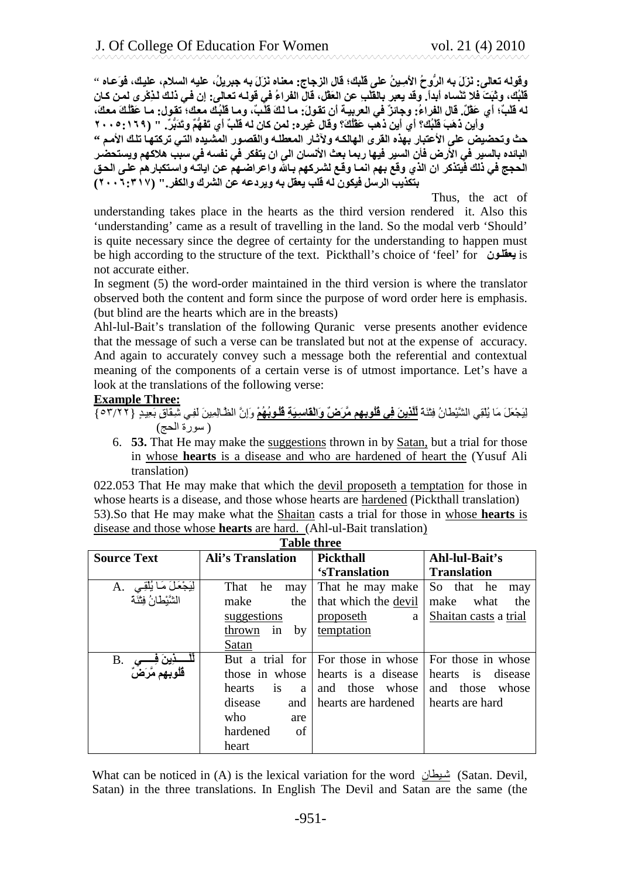**وقولھ تعالى: نَزَلَ بھ الرُّوحُ الأَمِـینُ على قَلْبك؛ قال الزجاج: معناه نَزَلَ بھ جبریل،ُ علیھ السلام، علیك، فَوَعاه** " **قَلْبُك، وثَبَتَ فلا تَنْساه أَبدا.ً وقد یعبر بالقَلْبِ عن العَقْل، قال الفراءُ في قولھ تعالى : إِن في ذلك لَذِكْرى لمن كان لھ قَلْبٌ؛ أَي عَقْل.ٌ قال الفراء:ُ وجائزٌ في العربیة أَن تقولَ : ما لَكَ قَلْب،ٌ وما قَلْبُك معك؛ تقول : ما عَقْلُكَ معك،َ وأَین ذَھَبَ قَلْبُك؟ أَي أَین ذھب عَقْلُكَ؟ وقال غیره: لمن كان لھ قَلْبٌ أَي تَفَھُّمٌ وتَدَبُّر.ٌ " (٢٠٠٥:١٦٩**

**حث وتحضیض على الأعتبار بھذه القرى الھالكھ ولآثار المعطلھ والقصور المشیده التي تركتھا تلك الأمم " البائده بالسیر في الأرض فأن السیر فیھا ربما بعث الأنسان الى ان یتفكر في نفسھ في سبب ھلاكھم ویستحضر الحجج في ذلك فیتذكر ان الذي وقع بھم انما وقع لشركھم باالله واعراضھم عن ایاتھ واستكبارھم على الحق بتكذیب الرسل فیكون لھ قلب یعقل بھ ویردعھ عن الشرك والكفر." (٢٠٠٦:٣١٧)**

Thus, the act of

understanding takes place in the hearts as the third version rendered it. Also this 'understanding' came as a result of travelling in the land. So the modal verb 'Should' is quite necessary since the degree of certainty for the understanding to happen must be high according to the structure of the text. Pickthall's choice of 'feel' for **ونیعقل** is not accurate either.

In segment (5) the word-order maintained in the third version is where the translator observed both the content and form since the purpose of word order here is emphasis. (but blind are the hearts which are in the breasts)

Ahl-lul-Bait's translation of the following Quranic verse presents another evidence that the message of such a verse can be translated but not at the expense of accuracy. And again to accurately convey such a message both the referential and contextual meaning of the components of a certain verse is of utmost importance. Let's have a look at the translations of the following verse:

#### **Example Three:**

- لِیَجْعَلَ مَا یُلْقِي الشَّیْطَانُ فِتْنَةً **لِّلَّذِینَ فِي قُلُوبِھِم مَّرَضٌ وَالْقَاسِیَةِ قُلُوبُھُمْ** وَإِنَّ الظَّالِمِینَ لَفِي شِقَاقٍ بَعِیدٍ {٥٣/٢٢} ( سورة الحج)
	- 6. **53.** That He may make the suggestions thrown in by Satan, but a trial for those in whose **hearts** is a disease and who are hardened of heart the (Yusuf Ali translation)

022.053 That He may make that which the devil proposeth a temptation for those in whose hearts is a disease, and those whose hearts are hardened (Pickthall translation) 53).So that He may make what the Shaitan casts a trial for those in whose **hearts** is disease and those whose **hearts** are hard. (Ahl-ul-Bait translation)

| <b>Table three</b>           |                          |                      |                       |  |
|------------------------------|--------------------------|----------------------|-----------------------|--|
| <b>Source Text</b>           | <b>Ali's Translation</b> | <b>Pickthall</b>     | Ahl-lul-Bait's        |  |
|                              |                          | 'sTranslation        | <b>Translation</b>    |  |
| لِيَجْعَلَ مَا يُلْقِي<br>A. | That<br>he<br>may        | That he may make     | that he<br>So<br>may  |  |
| الشَّنْطَانُ فِتْنَهَ        | make<br>the              | that which the devil | make<br>what<br>the   |  |
|                              | suggestions              | proposeth<br>a       | Shaitan casts a trial |  |
|                              | in<br>thrown<br>by       | temptation           |                       |  |
|                              | Satan                    |                      |                       |  |
| B.                           | But a trial for          | For those in whose   | For those in whose    |  |
| ق <b>ُلُوبِـهِم مَّرَضَّ</b> | those in whose           | hearts is a disease  | disease<br>hearts is  |  |
|                              | is<br>hearts<br>a        | and those<br>whose   | those<br>and<br>whose |  |
|                              | disease<br>and           | hearts are hardened  | hearts are hard       |  |
|                              | who<br>are               |                      |                       |  |
|                              | οf<br>hardened           |                      |                       |  |
|                              | heart                    |                      |                       |  |

What can be noticed in  $(A)$  is the lexical variation for the word  $\Xi$  (Satan. Devil, Satan) in the three translations. In English The Devil and Satan are the same (the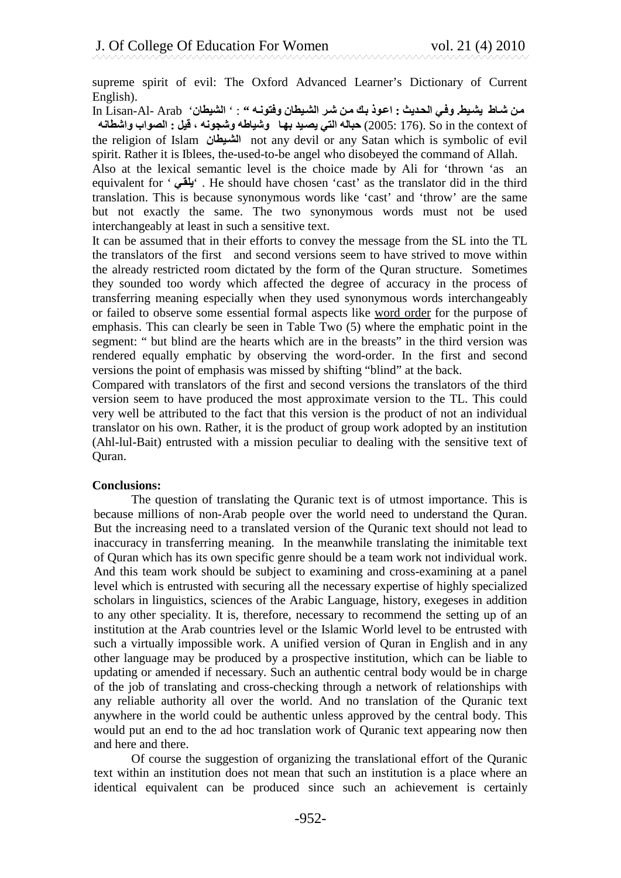supreme spirit of evil: The Oxford Advanced Learner's Dictionary of Current English).

**من شاط یشیط . وفي الحدیث : اعوذ بك من شر الشیطان وفتونھ "** : ' **الشیطان**' Arab -Al-Lisan In of context the in So .)176 2005: (**حبالھ التي یصید بھا وشیاطھ وشجونھ ، قیل : الصواب واشطانھ**  the religion of Islam **الشيطان** not any devil or any Satan which is symbolic of evil spirit. Rather it is Iblees, the-used-to-be angel who disobeyed the command of Allah.

Also at the lexical semantic level is the choice made by Ali for 'thrown 'as an equivalent for ' **يیلق** '. He should have chosen 'cast' as the translator did in the third translation. This is because synonymous words like 'cast' and 'throw' are the same but not exactly the same. The two synonymous words must not be used interchangeably at least in such a sensitive text.

It can be assumed that in their efforts to convey the message from the SL into the TL the translators of the first and second versions seem to have strived to move within the already restricted room dictated by the form of the Quran structure. Sometimes they sounded too wordy which affected the degree of accuracy in the process of transferring meaning especially when they used synonymous words interchangeably or failed to observe some essential formal aspects like word order for the purpose of emphasis. This can clearly be seen in Table Two (5) where the emphatic point in the segment: " but blind are the hearts which are in the breasts" in the third version was rendered equally emphatic by observing the word-order. In the first and second versions the point of emphasis was missed by shifting "blind" at the back.

Compared with translators of the first and second versions the translators of the third version seem to have produced the most approximate version to the TL. This could very well be attributed to the fact that this version is the product of not an individual translator on his own. Rather, it is the product of group work adopted by an institution (Ahl-lul-Bait) entrusted with a mission peculiar to dealing with the sensitive text of Quran.

#### **Conclusions:**

The question of translating the Quranic text is of utmost importance. This is because millions of non-Arab people over the world need to understand the Quran. But the increasing need to a translated version of the Quranic text should not lead to inaccuracy in transferring meaning. In the meanwhile translating the inimitable text of Quran which has its own specific genre should be a team work not individual work. And this team work should be subject to examining and cross-examining at a panel level which is entrusted with securing all the necessary expertise of highly specialized scholars in linguistics, sciences of the Arabic Language, history, exegeses in addition to any other speciality. It is, therefore, necessary to recommend the setting up of an institution at the Arab countries level or the Islamic World level to be entrusted with such a virtually impossible work. A unified version of Quran in English and in any other language may be produced by a prospective institution, which can be liable to updating or amended if necessary. Such an authentic central body would be in charge of the job of translating and cross-checking through a network of relationships with any reliable authority all over the world. And no translation of the Quranic text anywhere in the world could be authentic unless approved by the central body. This would put an end to the ad hoc translation work of Quranic text appearing now then and here and there.

Of course the suggestion of organizing the translational effort of the Quranic text within an institution does not mean that such an institution is a place where an identical equivalent can be produced since such an achievement is certainly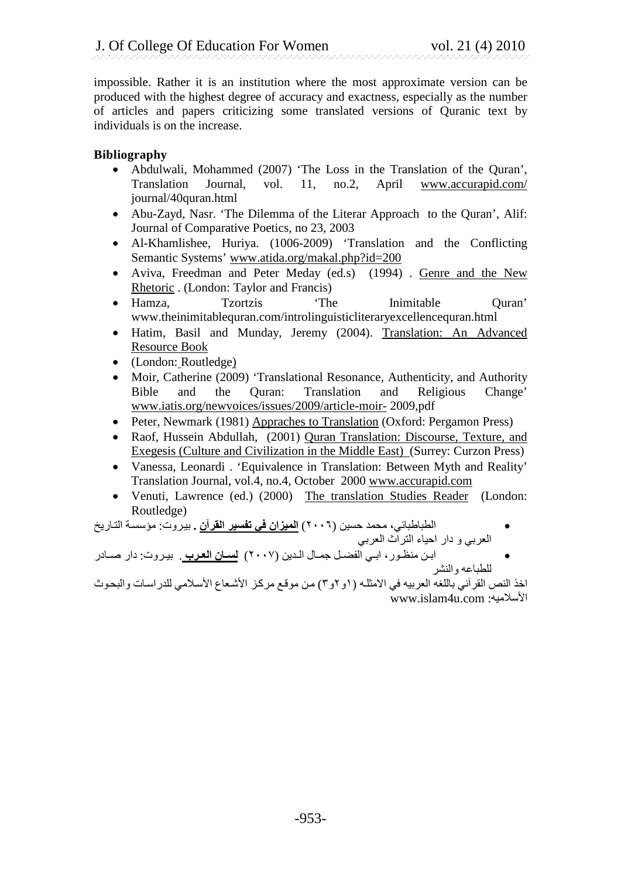impossible. Rather it is an institution where the most approximate version can be produced with the highest degree of accuracy and exactness, especially as the number of articles and papers criticizing some translated versions of Quranic text by individuals is on the increase.

### **Bibliography**

- · Abdulwali, Mohammed (2007) 'The Loss in the Translation of the Quran', Translation Journal, vol. 11, no.2, April www.accurapid.com/ journal/40quran.html
- · Abu-Zayd, Nasr. 'The Dilemma of the Literar Approach to the Quran', Alif: Journal of Comparative Poetics, no 23, 2003
- Al-Khamlishee, Huriya. (1006-2009) 'Translation and the Conflicting Semantic Systems' www.atida.org/makal.php?id=200
- · Aviva, Freedman and Peter Meday (ed.s) (1994) . Genre and the New Rhetoric . (London: Taylor and Francis)
- Hamza. Tzortzis 'The Inimitable Ouran' www.theinimitablequran.com/introlinguisticliteraryexcellencequran.html
- · Hatim, Basil and Munday, Jeremy (2004). Translation: An Advanced Resource Book
- (London: Routledge)
- Moir, Catherine (2009) 'Translational Resonance, Authenticity, and Authority Bible and the Quran: Translation and Religious Change' www.iatis.org/newvoices/issues/2009/article-moir- 2009,pdf
- Peter, Newmark (1981) Appraches to Translation (Oxford: Pergamon Press)
- · Raof, Hussein Abdullah, (2001) Quran Translation: Discourse, Texture, and Exegesis (Culture and Civilization in the Middle East) (Surrey: Curzon Press)
- · Vanessa, Leonardi . 'Equivalence in Translation: Between Myth and Reality' Translation Journal, vol.4, no.4, October 2000 www.accurapid.com
- · Venuti, Lawrence (ed.) (2000) The translation Studies Reader (London: Routledge)
- · الطباطبائي، محمد حسین (٢٠٠٦) **المیزان في تفسیر القرآن .** بیروت : مؤسسة التاریخ العربي و دار احیاء التراث العربي
- · ابن منظور، ابي الفضل جمال الدین (٢٠٠٧) **لسان العرب** . بیروت: دار صادر للطباعھ والنشر

اخذ النص القرآني باللغھ العربیھ في الامثلھ (١و٢و٣) من موقع مركز الأشعاع الأسلامي للدراسات والبحوث www.islam4u.com :الأسلامیھ